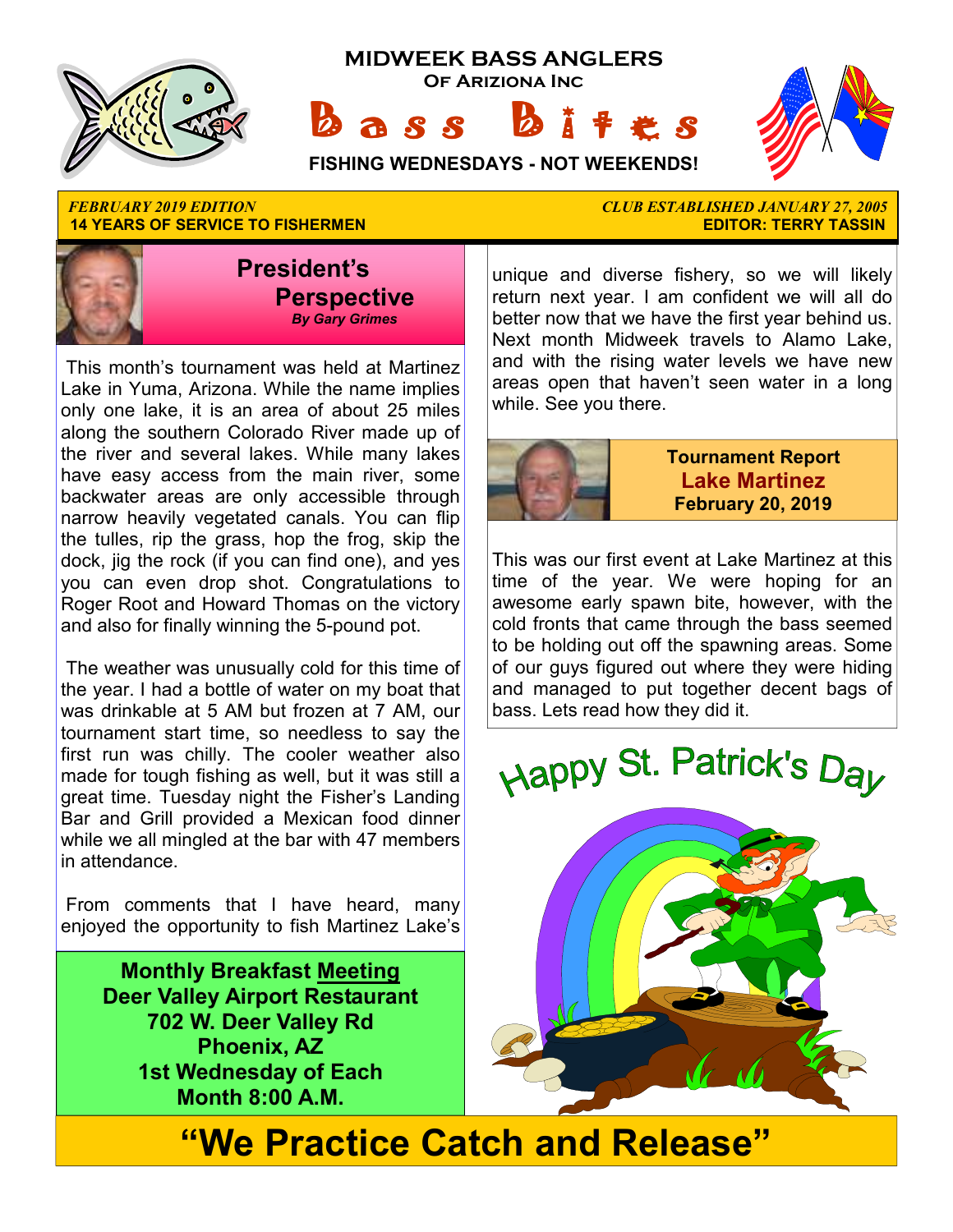

**14 YEARS OF SERVICE TO FISHERMEN EDITOR: TERRY TASSIN** 



 This month's tournament was held at Martinez Lake in Yuma, Arizona. While the name implies only one lake, it is an area of about 25 miles along the southern Colorado River made up of the river and several lakes. While many lakes have easy access from the main river, some backwater areas are only accessible through narrow heavily vegetated canals. You can flip the tulles, rip the grass, hop the frog, skip the dock, jig the rock (if you can find one), and yes you can even drop shot. Congratulations to Roger Root and Howard Thomas on the victory and also for finally winning the 5-pound pot.

 The weather was unusually cold for this time of the year. I had a bottle of water on my boat that was drinkable at 5 AM but frozen at 7 AM, our tournament start time, so needless to say the first run was chilly. The cooler weather also made for tough fishing as well, but it was still a great time. Tuesday night the Fisher's Landing Bar and Grill provided a Mexican food dinner while we all mingled at the bar with 47 members in attendance.

 From comments that I have heard, many enjoyed the opportunity to fish Martinez Lake's

> **Monthly Breakfast Meeting Deer Valley Airport Restaurant 702 W. Deer Valley Rd Phoenix, AZ 1st Wednesday of Each Month 8:00 A.M.**

*FEBRUARY 2019 EDITION CLUB ESTABLISHED JANUARY 27, 2005* 

unique and diverse fishery, so we will likely return next year. I am confident we will all do better now that we have the first year behind us. Next month Midweek travels to Alamo Lake, and with the rising water levels we have new areas open that haven't seen water in a long while. See you there.



**Tournament Report Lake Martinez February 20, 2019**

This was our first event at Lake Martinez at this time of the year. We were hoping for an awesome early spawn bite, however, with the cold fronts that came through the bass seemed to be holding out off the spawning areas. Some of our guys figured out where they were hiding and managed to put together decent bags of bass. Lets read how they did it.





**"We Practice Catch and Release"**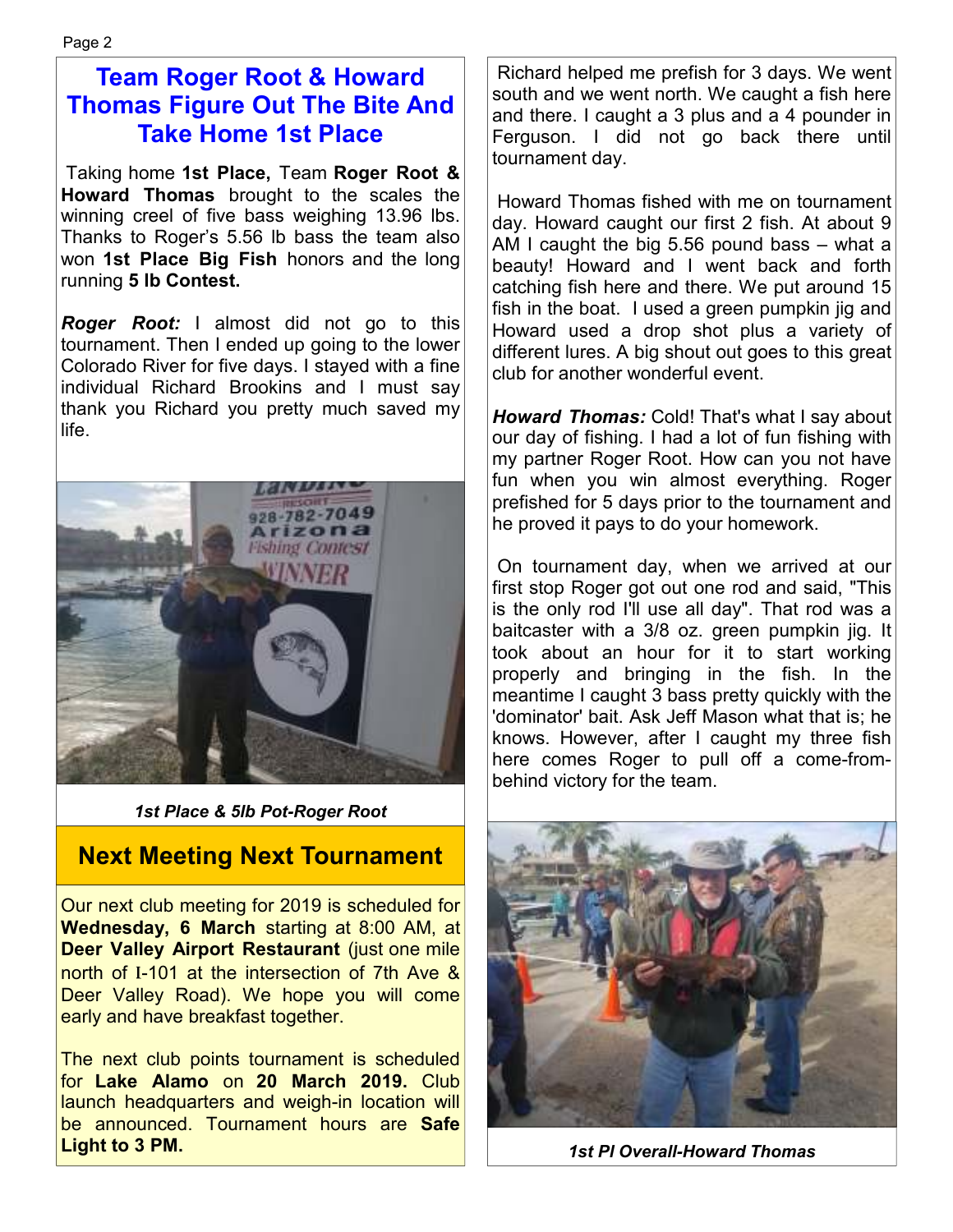## **Team Roger Root & Howard Thomas Figure Out The Bite And Take Home 1st Place**

 Taking home **1st Place,** Team **Roger Root & Howard Thomas** brought to the scales the winning creel of five bass weighing 13.96 lbs. Thanks to Roger's 5.56 lb bass the team also won **1st Place Big Fish** honors and the long running **5 lb Contest.**

*Roger Root:* I almost did not go to this tournament. Then I ended up going to the lower Colorado River for five days. I stayed with a fine individual Richard Brookins and I must say thank you Richard you pretty much saved my life.



*1st Place & 5lb Pot-Roger Root* 

### **Next Meeting Next Tournament**

Our next club meeting for 2019 is scheduled for **Wednesday, 6 March** starting at 8:00 AM, at **Deer Valley Airport Restaurant** (just one mile north of I-101 at the intersection of 7th Ave & Deer Valley Road). We hope you will come early and have breakfast together.

The next club points tournament is scheduled for **Lake Alamo** on **20 March 2019.** Club launch headquarters and weigh-in location will be announced. Tournament hours are **Safe Light to 3 PM.** 

 Richard helped me prefish for 3 days. We went south and we went north. We caught a fish here and there. I caught a 3 plus and a 4 pounder in Ferguson. I did not go back there until tournament day.

 Howard Thomas fished with me on tournament day. Howard caught our first 2 fish. At about 9 AM I caught the big 5.56 pound bass – what a beauty! Howard and I went back and forth catching fish here and there. We put around 15 fish in the boat. I used a green pumpkin jig and Howard used a drop shot plus a variety of different lures. A big shout out goes to this great club for another wonderful event.

*Howard Thomas:* Cold! That's what I say about our day of fishing. I had a lot of fun fishing with my partner Roger Root. How can you not have fun when you win almost everything. Roger prefished for 5 days prior to the tournament and he proved it pays to do your homework.

 On tournament day, when we arrived at our first stop Roger got out one rod and said, "This is the only rod I'll use all day". That rod was a baitcaster with a 3/8 oz. green pumpkin jig. It took about an hour for it to start working properly and bringing in the fish. In the meantime I caught 3 bass pretty quickly with the 'dominator' bait. Ask Jeff Mason what that is; he knows. However, after I caught my three fish here comes Roger to pull off a come-frombehind victory for the team.



*1st Pl Overall-Howard Thomas*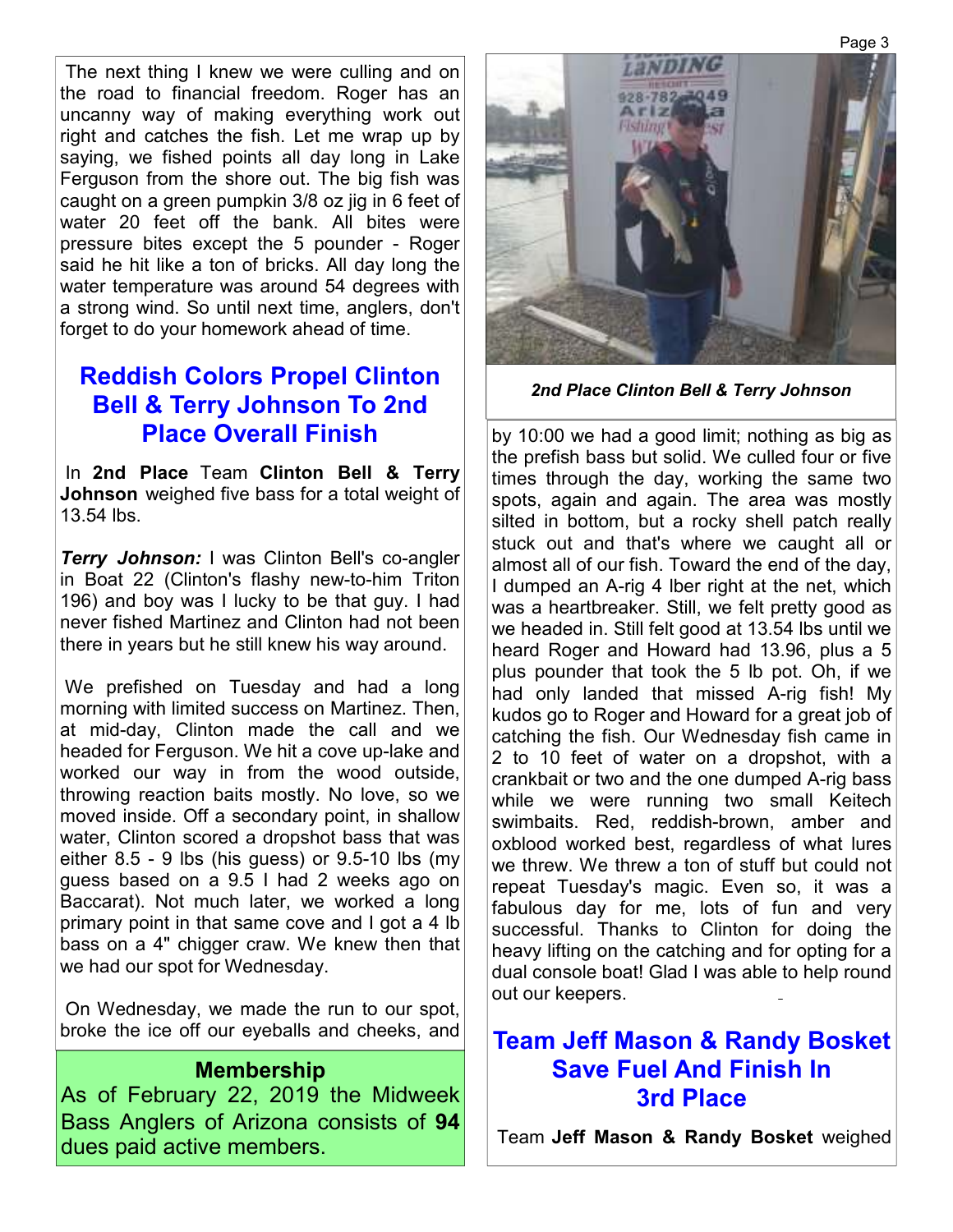The next thing I knew we were culling and on the road to financial freedom. Roger has an uncanny way of making everything work out right and catches the fish. Let me wrap up by saying, we fished points all day long in Lake Ferguson from the shore out. The big fish was caught on a green pumpkin 3/8 oz jig in 6 feet of water 20 feet off the bank. All bites were pressure bites except the 5 pounder - Roger said he hit like a ton of bricks. All day long the water temperature was around 54 degrees with a strong wind. So until next time, anglers, don't forget to do your homework ahead of time.

## **Reddish Colors Propel Clinton Bell & Terry Johnson To 2nd Place Overall Finish**

 In **2nd Place** Team **Clinton Bell & Terry Johnson** weighed five bass for a total weight of 13.54 lbs.

*Terry Johnson:* I was Clinton Bell's co-angler in Boat 22 (Clinton's flashy new-to-him Triton 196) and boy was I lucky to be that guy. I had never fished Martinez and Clinton had not been there in years but he still knew his way around.

 We prefished on Tuesday and had a long morning with limited success on Martinez. Then, at mid-day, Clinton made the call and we headed for Ferguson. We hit a cove up-lake and worked our way in from the wood outside, throwing reaction baits mostly. No love, so we moved inside. Off a secondary point, in shallow water, Clinton scored a dropshot bass that was either 8.5 - 9 lbs (his guess) or 9.5-10 lbs (my guess based on a 9.5 I had 2 weeks ago on Baccarat). Not much later, we worked a long primary point in that same cove and I got a 4 lb bass on a 4" chigger craw. We knew then that we had our spot for Wednesday.

 On Wednesday, we made the run to our spot, broke the ice off our eyeballs and cheeks, and

### **Membership**

As of February 22, 2019 the Midweek Bass Anglers of Arizona consists of **94**  dues paid active members.



*2nd Place Clinton Bell & Terry Johnson*

by 10:00 we had a good limit; nothing as big as the prefish bass but solid. We culled four or five times through the day, working the same two spots, again and again. The area was mostly silted in bottom, but a rocky shell patch really stuck out and that's where we caught all or almost all of our fish. Toward the end of the day, I dumped an A-rig 4 lber right at the net, which was a heartbreaker. Still, we felt pretty good as we headed in. Still felt good at 13.54 lbs until we heard Roger and Howard had 13.96, plus a 5 plus pounder that took the 5 lb pot. Oh, if we had only landed that missed A-rig fish! My kudos go to Roger and Howard for a great job of catching the fish. Our Wednesday fish came in 2 to 10 feet of water on a dropshot, with a crankbait or two and the one dumped A-rig bass while we were running two small Keitech swimbaits. Red, reddish-brown, amber and oxblood worked best, regardless of what lures we threw. We threw a ton of stuff but could not repeat Tuesday's magic. Even so, it was a fabulous day for me, lots of fun and very successful. Thanks to Clinton for doing the heavy lifting on the catching and for opting for a dual console boat! Glad I was able to help round out our keepers.

### **Team Jeff Mason & Randy Bosket Save Fuel And Finish In 3rd Place**

Team **Jeff Mason & Randy Bosket** weighed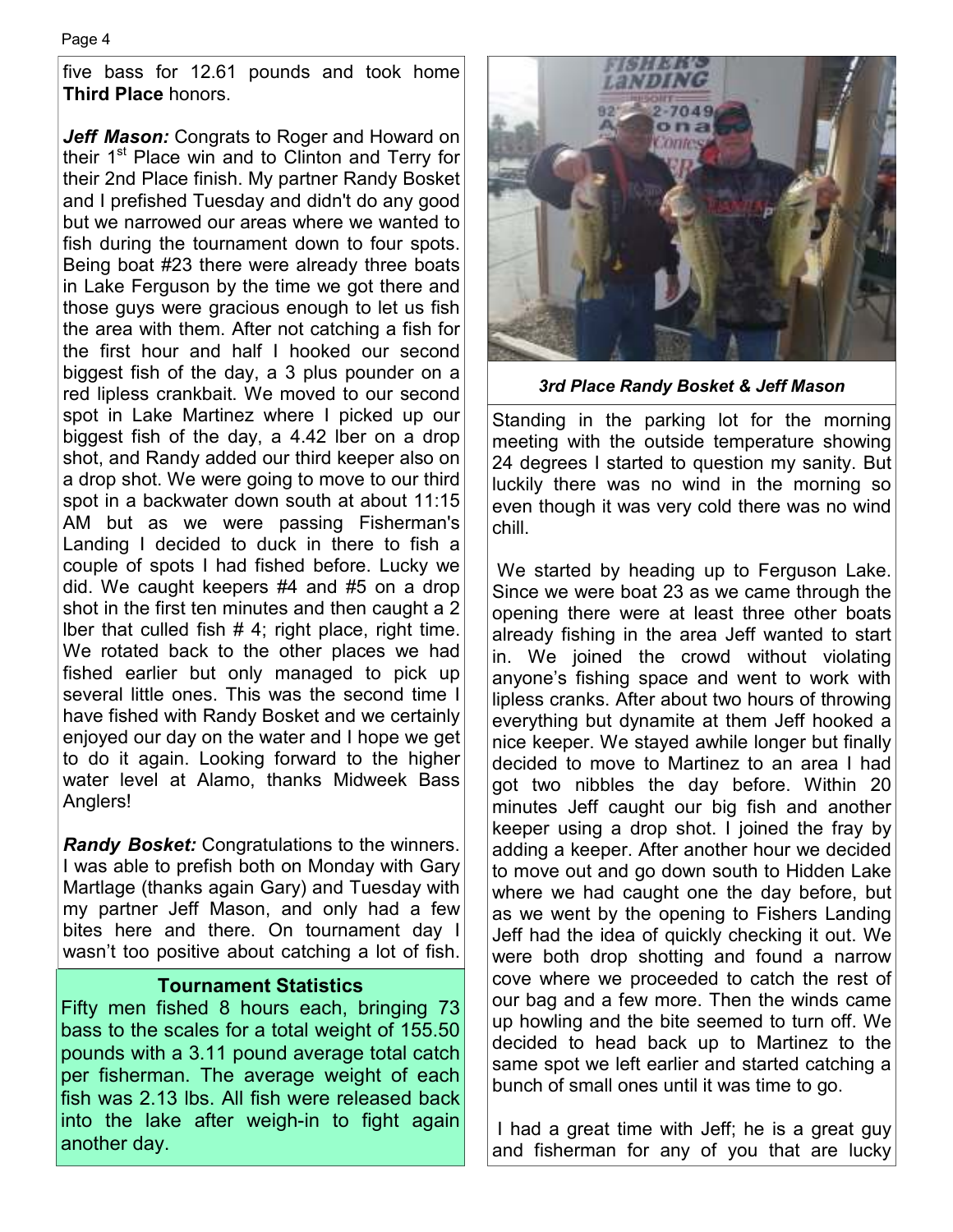five bass for 12.61 pounds and took home **Third Place** honors.

*Jeff Mason:* Congrats to Roger and Howard on their 1<sup>st</sup> Place win and to Clinton and Terry for their 2nd Place finish. My partner Randy Bosket and I prefished Tuesday and didn't do any good but we narrowed our areas where we wanted to fish during the tournament down to four spots. Being boat #23 there were already three boats in Lake Ferguson by the time we got there and those guys were gracious enough to let us fish the area with them. After not catching a fish for the first hour and half I hooked our second biggest fish of the day, a 3 plus pounder on a red lipless crankbait. We moved to our second spot in Lake Martinez where I picked up our biggest fish of the day, a 4.42 lber on a drop shot, and Randy added our third keeper also on a drop shot. We were going to move to our third spot in a backwater down south at about 11:15 AM but as we were passing Fisherman's Landing I decided to duck in there to fish a couple of spots I had fished before. Lucky we did. We caught keepers #4 and #5 on a drop shot in the first ten minutes and then caught a 2 Iber that culled fish  $# 4$ ; right place, right time. We rotated back to the other places we had fished earlier but only managed to pick up several little ones. This was the second time I have fished with Randy Bosket and we certainly enjoyed our day on the water and I hope we get to do it again. Looking forward to the higher water level at Alamo, thanks Midweek Bass Anglers!

*Randy Bosket:* Congratulations to the winners. I was able to prefish both on Monday with Gary Martlage (thanks again Gary) and Tuesday with my partner Jeff Mason, and only had a few bites here and there. On tournament day I wasn't too positive about catching a lot of fish.

#### **Tournament Statistics**

Fifty men fished 8 hours each, bringing 73 bass to the scales for a total weight of 155.50 pounds with a 3.11 pound average total catch per fisherman. The average weight of each fish was 2.13 lbs. All fish were released back into the lake after weigh-in to fight again another day.



*3rd Place Randy Bosket & Jeff Mason*

Standing in the parking lot for the morning meeting with the outside temperature showing 24 degrees I started to question my sanity. But luckily there was no wind in the morning so even though it was very cold there was no wind chill.

 We started by heading up to Ferguson Lake. Since we were boat 23 as we came through the opening there were at least three other boats already fishing in the area Jeff wanted to start in. We joined the crowd without violating anyone's fishing space and went to work with lipless cranks. After about two hours of throwing everything but dynamite at them Jeff hooked a nice keeper. We stayed awhile longer but finally decided to move to Martinez to an area I had got two nibbles the day before. Within 20 minutes Jeff caught our big fish and another keeper using a drop shot. I joined the fray by adding a keeper. After another hour we decided to move out and go down south to Hidden Lake where we had caught one the day before, but as we went by the opening to Fishers Landing Jeff had the idea of quickly checking it out. We were both drop shotting and found a narrow cove where we proceeded to catch the rest of our bag and a few more. Then the winds came up howling and the bite seemed to turn off. We decided to head back up to Martinez to the same spot we left earlier and started catching a bunch of small ones until it was time to go.

 I had a great time with Jeff; he is a great guy and fisherman for any of you that are lucky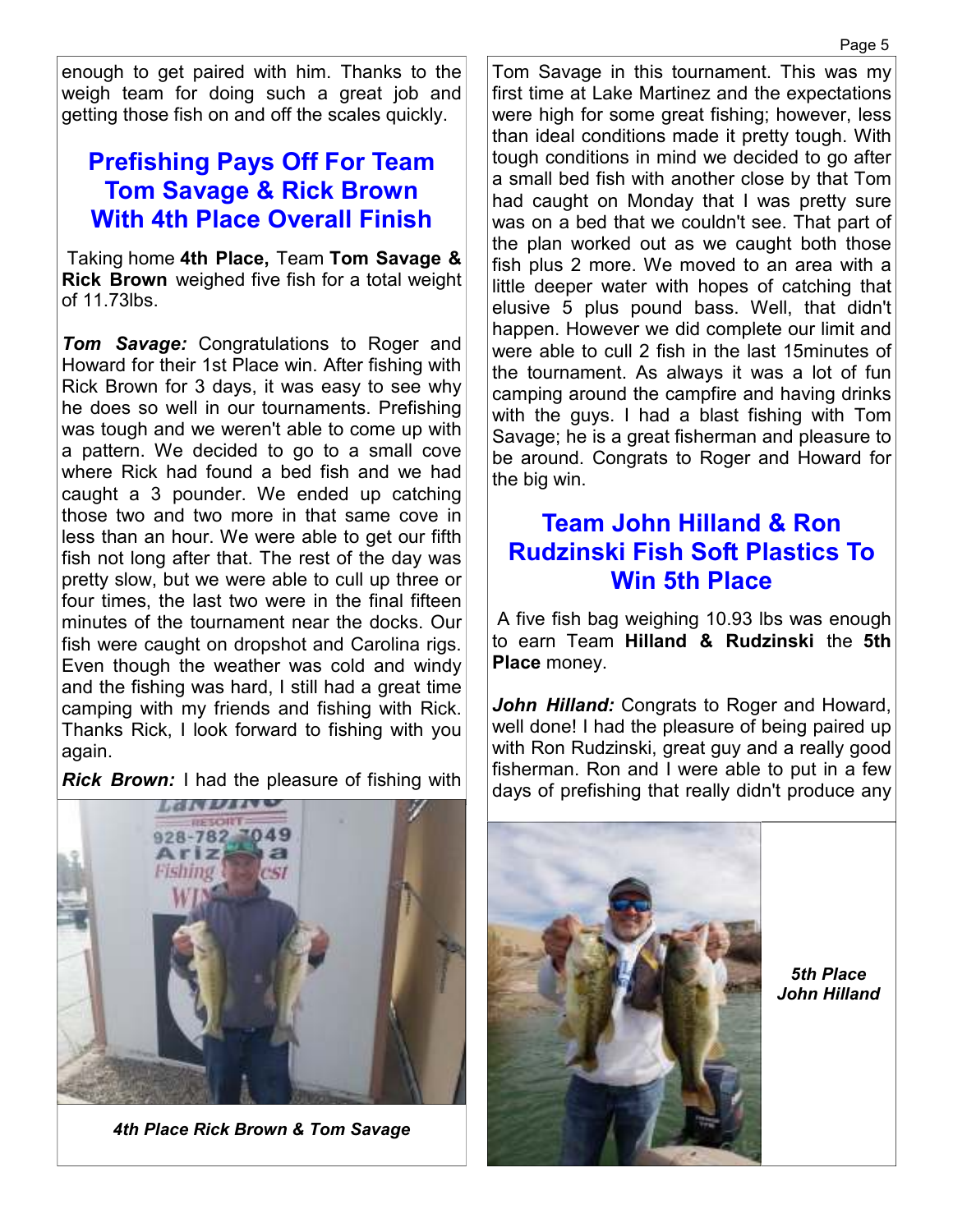enough to get paired with him. Thanks to the weigh team for doing such a great job and getting those fish on and off the scales quickly.

## **Prefishing Pays Off For Team Tom Savage & Rick Brown With 4th Place Overall Finish**

 Taking home **4th Place,** Team **Tom Savage & Rick Brown** weighed five fish for a total weight of 11.73lbs.

*Tom Savage:* Congratulations to Roger and Howard for their 1st Place win. After fishing with Rick Brown for 3 days, it was easy to see why he does so well in our tournaments. Prefishing was tough and we weren't able to come up with a pattern. We decided to go to a small cove where Rick had found a bed fish and we had caught a 3 pounder. We ended up catching those two and two more in that same cove in less than an hour. We were able to get our fifth fish not long after that. The rest of the day was pretty slow, but we were able to cull up three or four times, the last two were in the final fifteen minutes of the tournament near the docks. Our fish were caught on dropshot and Carolina rigs. Even though the weather was cold and windy and the fishing was hard, I still had a great time camping with my friends and fishing with Rick. Thanks Rick, I look forward to fishing with you again.

*Rick Brown:* I had the pleasure of fishing with

*4th Place Rick Brown & Tom Savage* 

Tom Savage in this tournament. This was my first time at Lake Martinez and the expectations were high for some great fishing; however, less than ideal conditions made it pretty tough. With tough conditions in mind we decided to go after a small bed fish with another close by that Tom had caught on Monday that I was pretty sure was on a bed that we couldn't see. That part of the plan worked out as we caught both those fish plus 2 more. We moved to an area with a little deeper water with hopes of catching that elusive 5 plus pound bass. Well, that didn't happen. However we did complete our limit and were able to cull 2 fish in the last 15minutes of the tournament. As always it was a lot of fun camping around the campfire and having drinks with the guys. I had a blast fishing with Tom Savage; he is a great fisherman and pleasure to be around. Congrats to Roger and Howard for the big win.

### **Team John Hilland & Ron Rudzinski Fish Soft Plastics To Win 5th Place**

 A five fish bag weighing 10.93 lbs was enough to earn Team **Hilland & Rudzinski** the **5th Place** money.

*John Hilland:* Congrats to Roger and Howard, well done! I had the pleasure of being paired up with Ron Rudzinski, great guy and a really good fisherman. Ron and I were able to put in a few days of prefishing that really didn't produce any

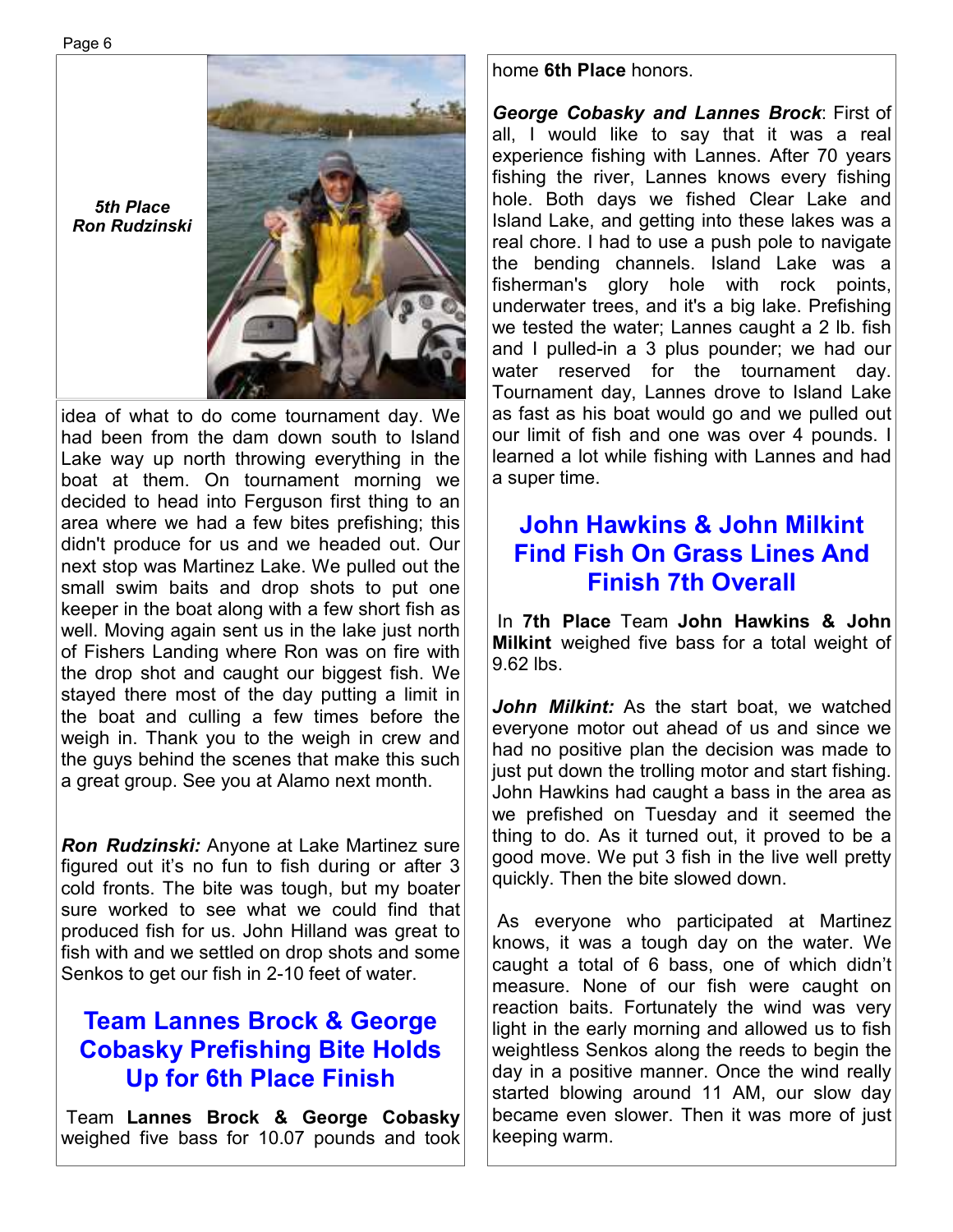*5th Place Ron Rudzinski* 

idea of what to do come tournament day. We had been from the dam down south to Island Lake way up north throwing everything in the boat at them. On tournament morning we decided to head into Ferguson first thing to an area where we had a few bites prefishing; this didn't produce for us and we headed out. Our next stop was Martinez Lake. We pulled out the small swim baits and drop shots to put one keeper in the boat along with a few short fish as well. Moving again sent us in the lake just north of Fishers Landing where Ron was on fire with the drop shot and caught our biggest fish. We stayed there most of the day putting a limit in the boat and culling a few times before the weigh in. Thank you to the weigh in crew and the guys behind the scenes that make this such a great group. See you at Alamo next month.

*Ron Rudzinski:* Anyone at Lake Martinez sure figured out it's no fun to fish during or after 3 cold fronts. The bite was tough, but my boater sure worked to see what we could find that produced fish for us. John Hilland was great to fish with and we settled on drop shots and some Senkos to get our fish in 2-10 feet of water.

## **Team Lannes Brock & George Cobasky Prefishing Bite Holds Up for 6th Place Finish**

 Team **Lannes Brock & George Cobasky**  weighed five bass for 10.07 pounds and took

#### home **6th Place** honors.

*George Cobasky and Lannes Brock*: First of all, I would like to say that it was a real experience fishing with Lannes. After 70 years fishing the river, Lannes knows every fishing hole. Both days we fished Clear Lake and Island Lake, and getting into these lakes was a real chore. I had to use a push pole to navigate the bending channels. Island Lake was a fisherman's glory hole with rock points, underwater trees, and it's a big lake. Prefishing we tested the water; Lannes caught a 2 lb. fish and I pulled-in a 3 plus pounder; we had our water reserved for the tournament day. Tournament day, Lannes drove to Island Lake as fast as his boat would go and we pulled out our limit of fish and one was over 4 pounds. I learned a lot while fishing with Lannes and had a super time.

## **John Hawkins & John Milkint Find Fish On Grass Lines And Finish 7th Overall**

 In **7th Place** Team **John Hawkins & John Milkint** weighed five bass for a total weight of 9.62 lbs.

*John Milkint:* As the start boat, we watched everyone motor out ahead of us and since we had no positive plan the decision was made to just put down the trolling motor and start fishing. John Hawkins had caught a bass in the area as we prefished on Tuesday and it seemed the thing to do. As it turned out, it proved to be a good move. We put 3 fish in the live well pretty quickly. Then the bite slowed down.

 As everyone who participated at Martinez knows, it was a tough day on the water. We caught a total of 6 bass, one of which didn't measure. None of our fish were caught on reaction baits. Fortunately the wind was very light in the early morning and allowed us to fish weightless Senkos along the reeds to begin the day in a positive manner. Once the wind really started blowing around 11 AM, our slow day became even slower. Then it was more of just keeping warm.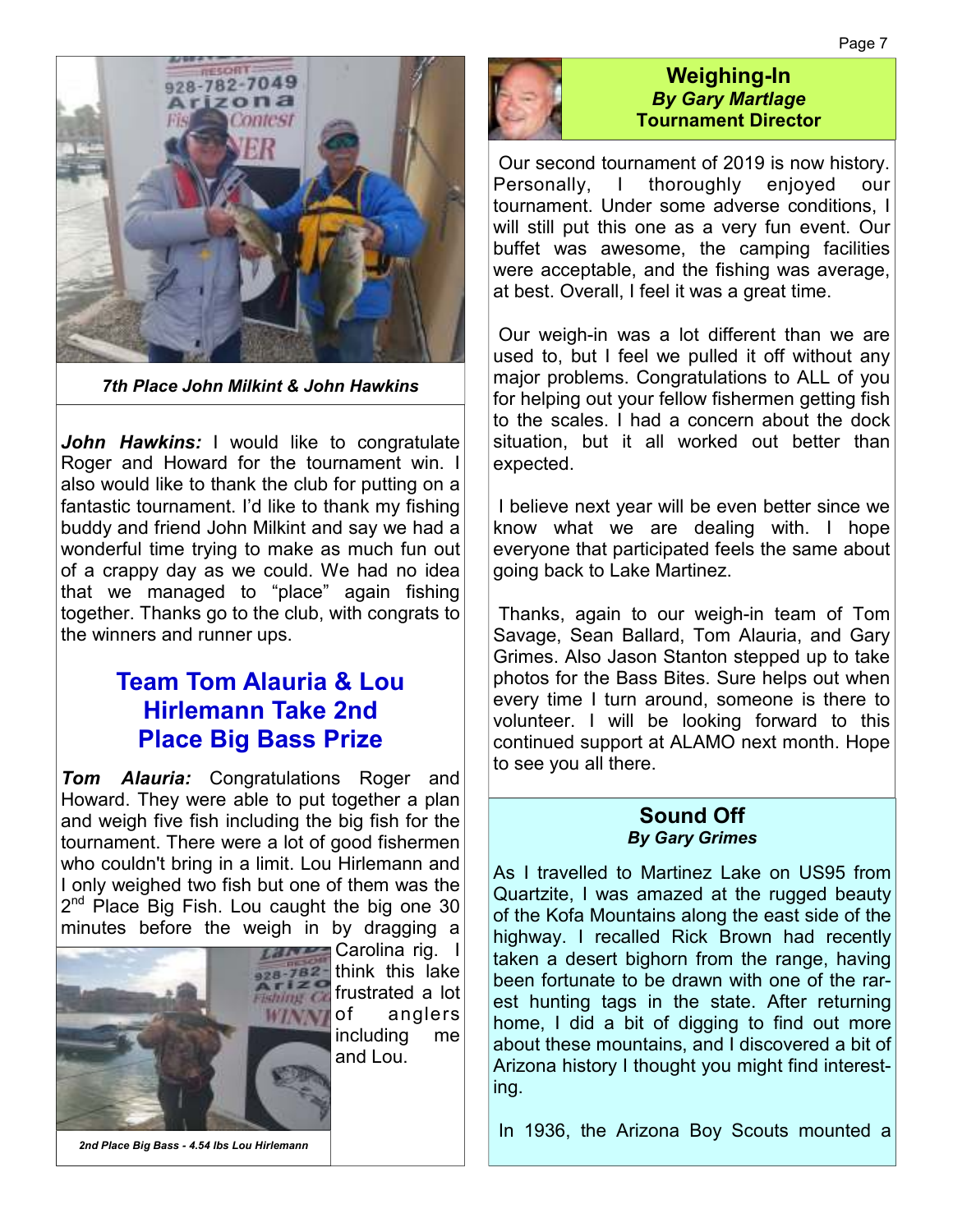

*7th Place John Milkint & John Hawkins* 

John Hawkins: I would like to congratulate Roger and Howard for the tournament win. I also would like to thank the club for putting on a fantastic tournament. I'd like to thank my fishing buddy and friend John Milkint and say we had a wonderful time trying to make as much fun out of a crappy day as we could. We had no idea that we managed to "place" again fishing together. Thanks go to the club, with congrats to the winners and runner ups.

### **Team Tom Alauria & Lou Hirlemann Take 2nd Place Big Bass Prize**

*Tom Alauria:* Congratulations Roger and Howard. They were able to put together a plan and weigh five fish including the big fish for the tournament. There were a lot of good fishermen who couldn't bring in a limit. Lou Hirlemann and I only weighed two fish but one of them was the 2<sup>nd</sup> Place Big Fish. Lou caught the big one 30 minutes before the weigh in by dragging a



Carolina rig. I think this lake  $f(x) = c$  frustrated a lot **WANTOf** anglers including me and Lou.

#### **Weighing-In**  *By Gary Martlage*  **Tournament Director**

 Our second tournament of 2019 is now history. Personally, I thoroughly enjoyed our tournament. Under some adverse conditions, I will still put this one as a very fun event. Our buffet was awesome, the camping facilities were acceptable, and the fishing was average, at best. Overall, I feel it was a great time.

 Our weigh-in was a lot different than we are used to, but I feel we pulled it off without any major problems. Congratulations to ALL of you for helping out your fellow fishermen getting fish to the scales. I had a concern about the dock situation, but it all worked out better than expected.

 I believe next year will be even better since we know what we are dealing with. I hope everyone that participated feels the same about going back to Lake Martinez.

 Thanks, again to our weigh-in team of Tom Savage, Sean Ballard, Tom Alauria, and Gary Grimes. Also Jason Stanton stepped up to take photos for the Bass Bites. Sure helps out when every time I turn around, someone is there to volunteer. I will be looking forward to this continued support at ALAMO next month. Hope to see you all there.

#### **Sound Off**  *By Gary Grimes*

As I travelled to Martinez Lake on US95 from Quartzite, I was amazed at the rugged beauty of the Kofa Mountains along the east side of the highway. I recalled Rick Brown had recently taken a desert bighorn from the range, having been fortunate to be drawn with one of the rarest hunting tags in the state. After returning home, I did a bit of digging to find out more about these mountains, and I discovered a bit of Arizona history I thought you might find interesting.

In 1936, the Arizona Boy Scouts mounted a

*2nd Place Big Bass - 4.54 lbs Lou Hirlemann*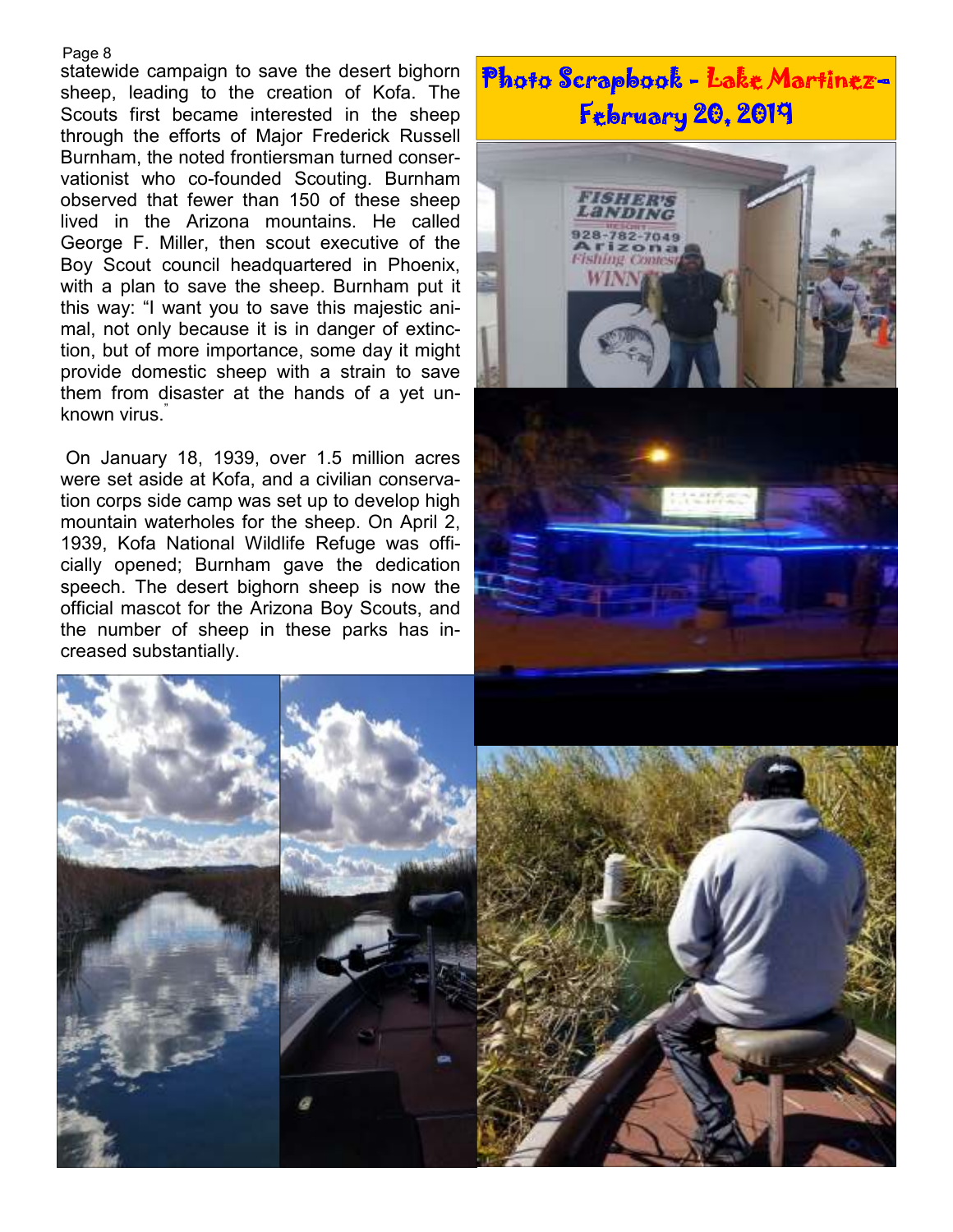#### Page 8

statewide campaign to save the desert bighorn sheep, leading to the creation of Kofa. The Scouts first became interested in the sheep through the efforts of Major Frederick Russell Burnham, the noted frontiersman turned conservationist who co-founded Scouting. Burnham observed that fewer than 150 of these sheep lived in the Arizona mountains. He called George F. Miller, then scout executive of the Boy Scout council headquartered in Phoenix, with a plan to save the sheep. Burnham put it this way: "I want you to save this majestic animal, not only because it is in danger of extinction, but of more importance, some day it might provide domestic sheep with a strain to save them from disaster at the hands of a yet unknown virus."

 On January 18, 1939, over 1.5 million acres were set aside at Kofa, and a civilian conservation corps side camp was set up to develop high mountain waterholes for the sheep. On April 2, 1939, Kofa National Wildlife Refuge was officially opened; Burnham gave the dedication speech. The desert bighorn sheep is now the official mascot for the Arizona Boy Scouts, and the number of sheep in these parks has increased substantially.

# Photo Scrapbook - Lake Martinez– **February 20, 2019**